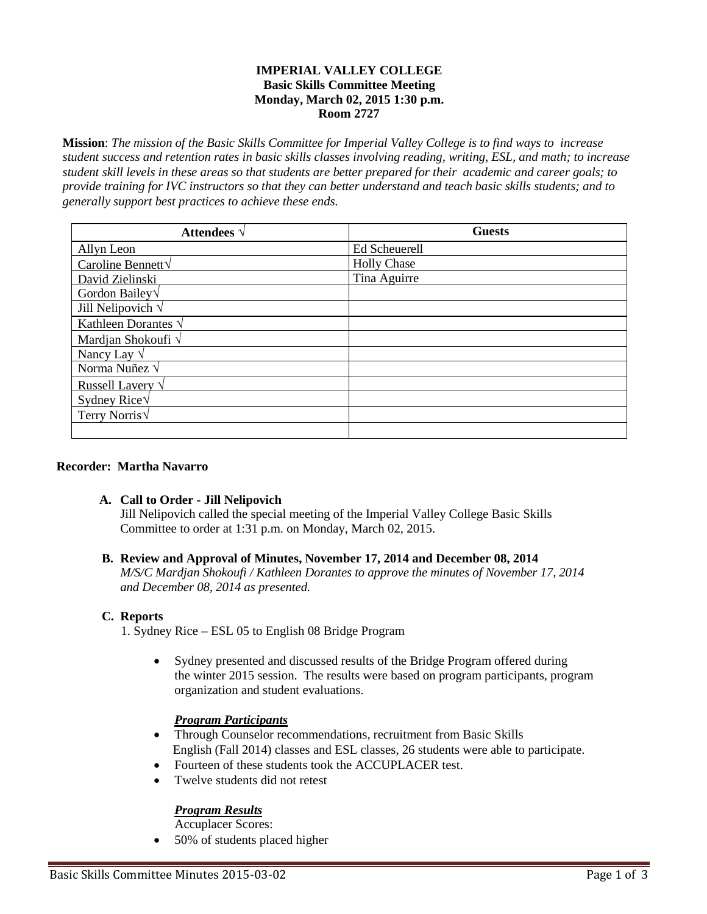### **IMPERIAL VALLEY COLLEGE Basic Skills Committee Meeting Monday, March 02, 2015 1:30 p.m. Room 2727**

**Mission**: *The mission of the Basic Skills Committee for Imperial Valley College is to find ways to increase student success and retention rates in basic skills classes involving reading, writing, ESL, and math; to increase student skill levels in these areas so that students are better prepared for their academic and career goals; to provide training for IVC instructors so that they can better understand and teach basic skills students; and to generally support best practices to achieve these ends.*

| <b>Attendees</b> $\sqrt{ }$ | <b>Guests</b>      |
|-----------------------------|--------------------|
| Allyn Leon                  | Ed Scheuerell      |
| Caroline Bennett $\sqrt{}$  | <b>Holly Chase</b> |
| David Zielinski             | Tina Aguirre       |
| Gordon Bailey $\sqrt$       |                    |
| Jill Nelipovich $\sqrt$     |                    |
| Kathleen Dorantes $\sqrt{}$ |                    |
| Mardjan Shokoufi $\sqrt$    |                    |
| Nancy Lay $\sqrt$           |                    |
| Norma Nuñez $\sqrt{}$       |                    |
| Russell Lavery $\sqrt{}$    |                    |
| Sydney Rice $\sqrt$         |                    |
| Terry Norris $\sqrt$        |                    |
|                             |                    |

#### **Recorder: Martha Navarro**

# **A. Call to Order - Jill Nelipovich**

Jill Nelipovich called the special meeting of the Imperial Valley College Basic Skills Committee to order at 1:31 p.m. on Monday, March 02, 2015.

# **B. Review and Approval of Minutes, November 17, 2014 and December 08, 2014**

*M/S/C Mardjan Shokoufi / Kathleen Dorantes to approve the minutes of November 17, 2014 and December 08, 2014 as presented.*

#### **C. Reports**

1. Sydney Rice – ESL 05 to English 08 Bridge Program

• Sydney presented and discussed results of the Bridge Program offered during the winter 2015 session. The results were based on program participants, program organization and student evaluations.

# *Program Participants*

- Through Counselor recommendations, recruitment from Basic Skills English (Fall 2014) classes and ESL classes, 26 students were able to participate.
- Fourteen of these students took the ACCUPLACER test.
- Twelve students did not retest

# *Program Results*

Accuplacer Scores:

• 50% of students placed higher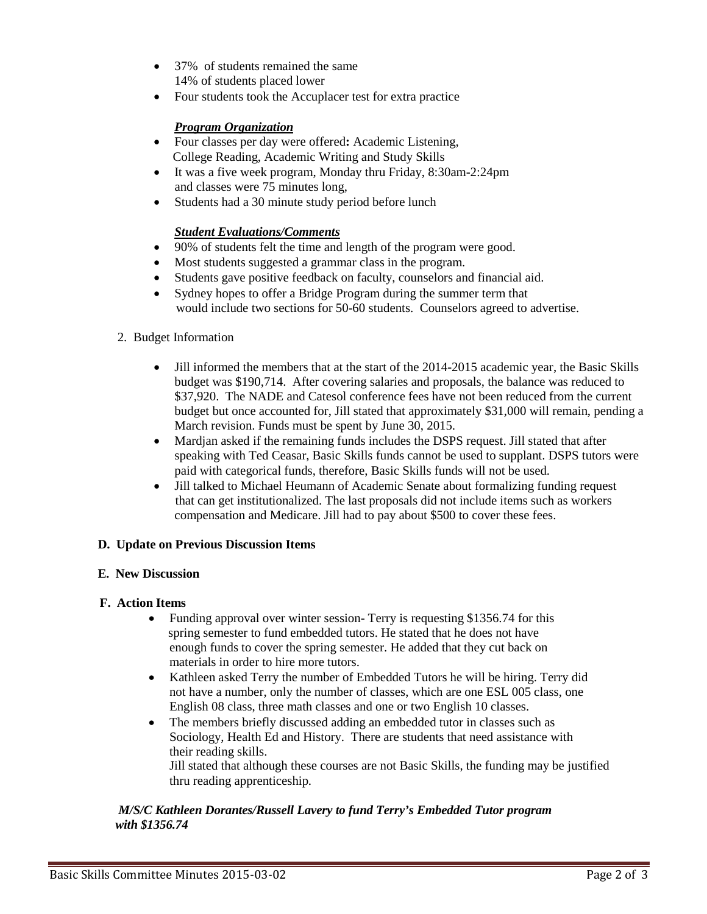- 37% of students remained the same 14% of students placed lower
- Four students took the Accuplacer test for extra practice

# *Program Organization*

- Four classes per day were offered**:** Academic Listening, College Reading, Academic Writing and Study Skills
- It was a five week program, Monday thru Friday, 8:30am-2:24pm and classes were 75 minutes long,
- Students had a 30 minute study period before lunch

# *Student Evaluations/Comments*

- 90% of students felt the time and length of the program were good.
- Most students suggested a grammar class in the program.
- Students gave positive feedback on faculty, counselors and financial aid.
- Sydney hopes to offer a Bridge Program during the summer term that would include two sections for 50-60 students. Counselors agreed to advertise.

### 2. Budget Information

- Jill informed the members that at the start of the 2014-2015 academic year, the Basic Skills budget was \$190,714. After covering salaries and proposals, the balance was reduced to \$37,920. The NADE and Catesol conference fees have not been reduced from the current budget but once accounted for, Jill stated that approximately \$31,000 will remain, pending a March revision. Funds must be spent by June 30, 2015.
- Mardian asked if the remaining funds includes the DSPS request. Jill stated that after speaking with Ted Ceasar, Basic Skills funds cannot be used to supplant. DSPS tutors were paid with categorical funds, therefore, Basic Skills funds will not be used.
- Jill talked to Michael Heumann of Academic Senate about formalizing funding request that can get institutionalized. The last proposals did not include items such as workers compensation and Medicare. Jill had to pay about \$500 to cover these fees.

#### **D. Update on Previous Discussion Items**

#### **E. New Discussion**

#### **F. Action Items**

- Funding approval over winter session-Terry is requesting \$1356.74 for this spring semester to fund embedded tutors. He stated that he does not have enough funds to cover the spring semester. He added that they cut back on materials in order to hire more tutors.
- Kathleen asked Terry the number of Embedded Tutors he will be hiring. Terry did not have a number, only the number of classes, which are one ESL 005 class, one English 08 class, three math classes and one or two English 10 classes.
- The members briefly discussed adding an embedded tutor in classes such as Sociology, Health Ed and History. There are students that need assistance with their reading skills.

Jill stated that although these courses are not Basic Skills, the funding may be justified thru reading apprenticeship.

### *M/S/C Kathleen Dorantes/Russell Lavery to fund Terry's Embedded Tutor program with \$1356.74*